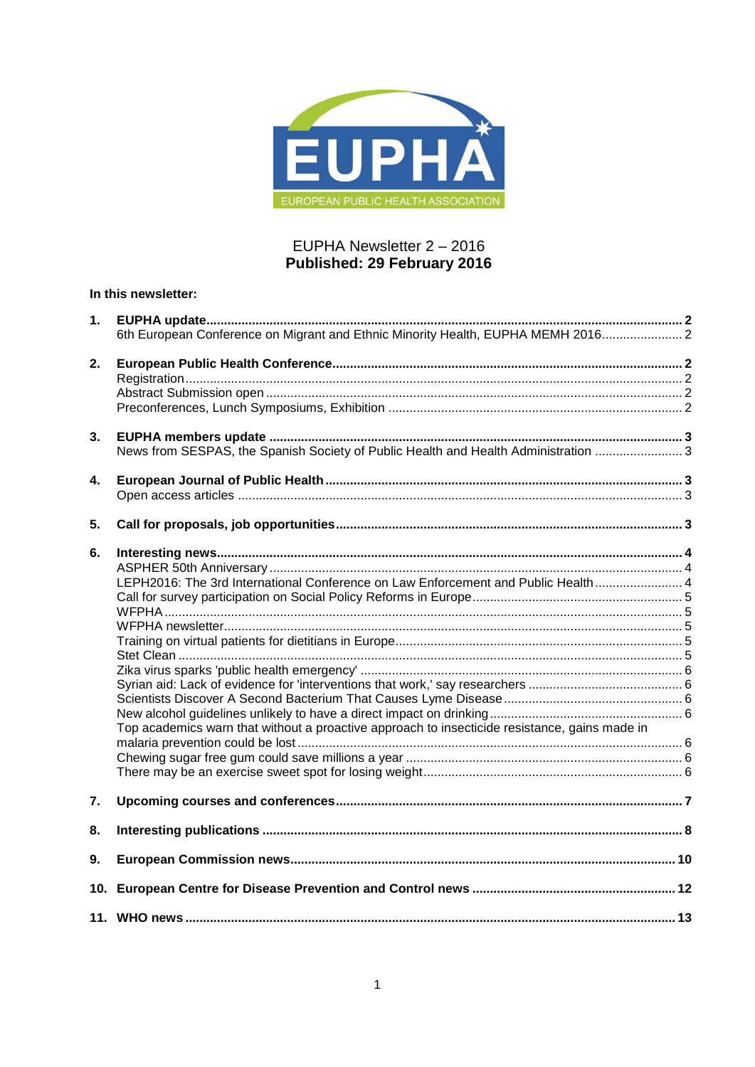

## EUPHA Newsletter 2 - 2016 Published: 29 February 2016

## In this newsletter:

| 1. |                                                                                               |  |
|----|-----------------------------------------------------------------------------------------------|--|
|    | 6th European Conference on Migrant and Ethnic Minority Health, EUPHA MEMH 2016 2              |  |
| 2. |                                                                                               |  |
|    |                                                                                               |  |
|    |                                                                                               |  |
|    |                                                                                               |  |
| 3. |                                                                                               |  |
|    | News from SESPAS, the Spanish Society of Public Health and Health Administration  3           |  |
| 4. |                                                                                               |  |
|    |                                                                                               |  |
| 5. |                                                                                               |  |
| 6. |                                                                                               |  |
|    |                                                                                               |  |
|    | LEPH2016: The 3rd International Conference on Law Enforcement and Public Health 4             |  |
|    |                                                                                               |  |
|    |                                                                                               |  |
|    |                                                                                               |  |
|    |                                                                                               |  |
|    |                                                                                               |  |
|    |                                                                                               |  |
|    |                                                                                               |  |
|    |                                                                                               |  |
|    |                                                                                               |  |
|    | Top academics warn that without a proactive approach to insecticide resistance, gains made in |  |
|    |                                                                                               |  |
|    |                                                                                               |  |
|    |                                                                                               |  |
| 7. |                                                                                               |  |
| 8. |                                                                                               |  |
| 9. |                                                                                               |  |
|    |                                                                                               |  |
|    |                                                                                               |  |
|    |                                                                                               |  |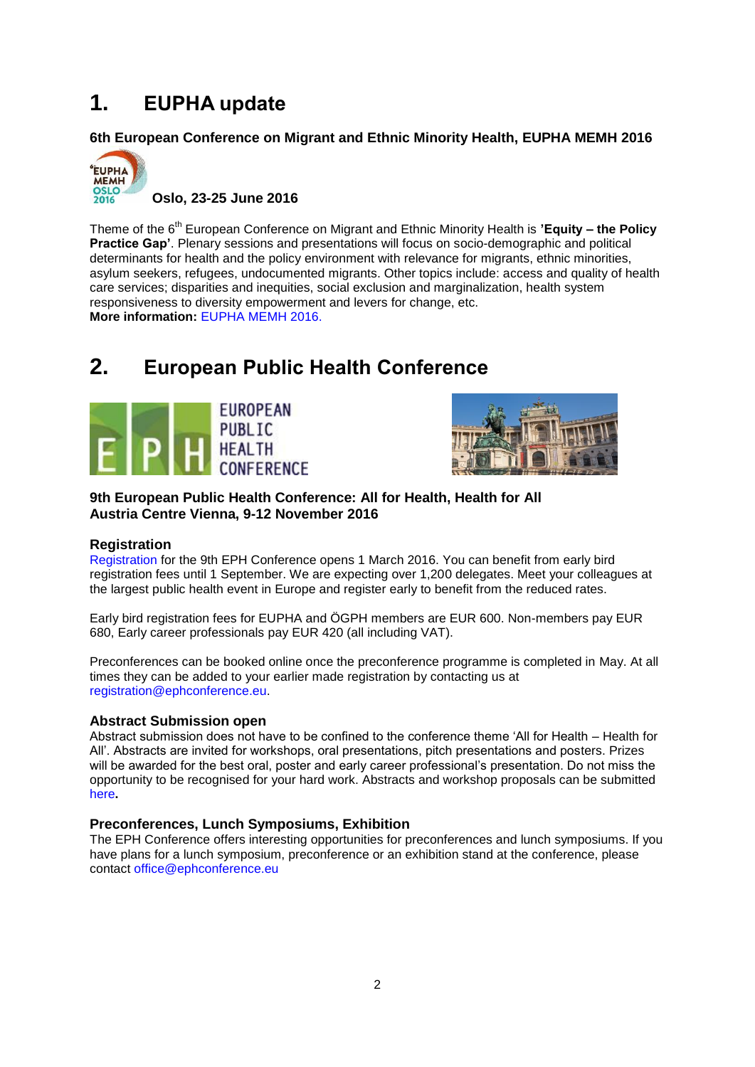## <span id="page-1-0"></span>**1. EUPHA update**

<span id="page-1-1"></span>**6th European Conference on Migrant and Ethnic Minority Health, EUPHA MEMH 2016**



Theme of the 6<sup>th</sup> European Conference on Migrant and Ethnic Minority Health is **'Equity – the Policy Practice Gap'**. Plenary sessions and presentations will focus on socio-demographic and political determinants for health and the policy environment with relevance for migrants, ethnic minorities, asylum seekers, refugees, undocumented migrants. Other topics include: access and quality of health care services; disparities and inequities, social exclusion and marginalization, health system responsiveness to diversity empowerment and levers for change, etc. **More information:** [EUPHA MEMH 2016.](http://eupha-migranthealthconference.com/)

# <span id="page-1-2"></span>**2. European Public Health Conference**





**9th European Public Health Conference: All for Health, Health for All Austria Centre Vienna, 9-12 November 2016**

## <span id="page-1-3"></span>**Registration**

[Registration](https://ephconference.eu/) for the 9th EPH Conference opens 1 March 2016. You can benefit from early bird registration fees until 1 September. We are expecting over 1,200 delegates. Meet your colleagues at the largest public health event in Europe and register early to benefit from the reduced rates.

Early bird registration fees for EUPHA and ÖGPH members are EUR 600. Non-members pay EUR 680, Early career professionals pay EUR 420 (all including VAT).

Preconferences can be booked online once the preconference programme is completed in May. At all times they can be added to your earlier made registration by contacting us at [registration@ephconference.eu.](mailto:registration@ephconference.eu)

## <span id="page-1-4"></span>**Abstract Submission open**

Abstract submission does not have to be confined to the conference theme 'All for Health – Health for All'. Abstracts are invited for workshops, oral presentations, pitch presentations and posters. Prizes will be awarded for the best oral, poster and early career professional's presentation. Do not miss the opportunity to be recognised for your hard work. Abstracts and workshop proposals can be submitted [here](https://ephconference.eu/)**.**

## <span id="page-1-5"></span>**Preconferences, Lunch Symposiums, Exhibition**

The EPH Conference offers interesting opportunities for preconferences and lunch symposiums. If you have plans for a lunch symposium, preconference or an exhibition stand at the conference, please contact [office@ephconference.eu](mailto:office@ephconference.eu)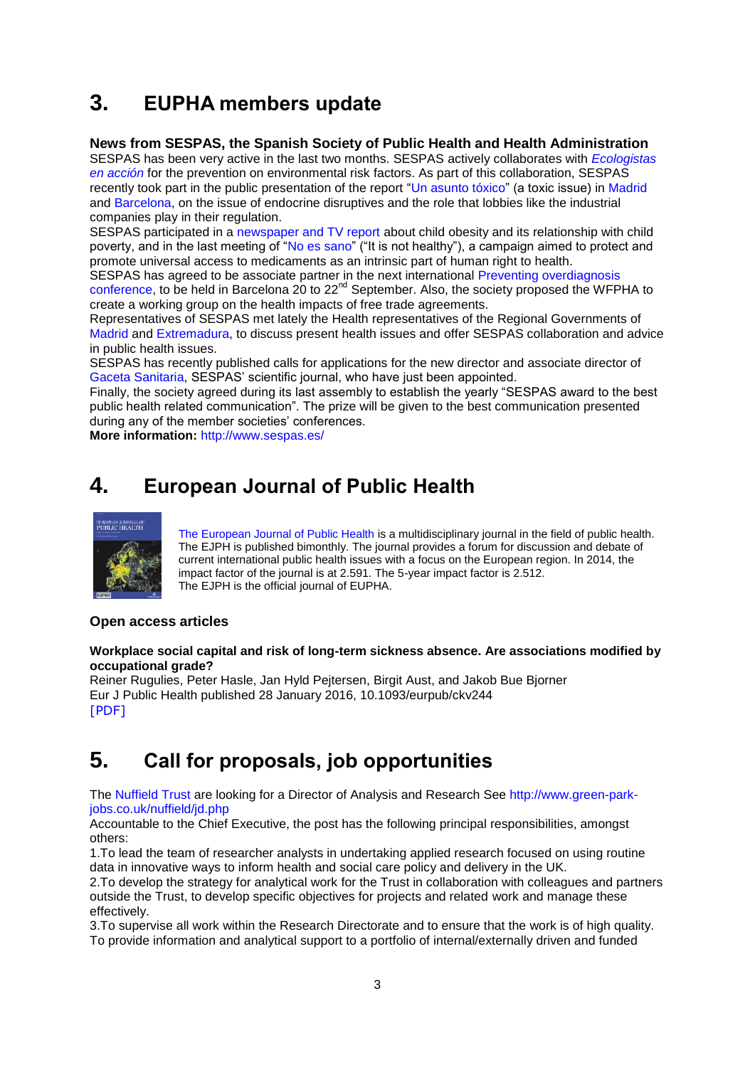# <span id="page-2-0"></span>**3. EUPHA members update**

## <span id="page-2-1"></span>**News from SESPAS, the Spanish Society of Public Health and Health Administration**

SESPAS has been very active in the last two months. SESPAS [actively collaborates with](http://sespas.es/adminweb/uploads/docs/comunicado-ozono.pdf) *Ecologistas [en acción](http://sespas.es/adminweb/uploads/docs/comunicado-ozono.pdf)* for the prevention on environmental risk factors. As part of this collaboration, SESPAS recently took part in the public presentation of the report ["Un asunto tóxico"](https://libresdecontaminanteshormonales.files.wordpress.com/2015/03/un-asunto-tc3b3xico-cc3b3mo-el-lobby-de-la-industria-quc3admica-bloquec3b3-la-adopcic3b3n-de-medidas-contra-los-disruptores-endocrinos.pdf) (a toxic issue) in [Madrid](http://www.ecologistasenaccion.es/article31503.html) and [Barcelona,](http://www.ecologistasenaccion.es/article31504.html) on the issue of endocrine disruptives and the role that lobbies like the industrial companies play in their regulation.

SESPAS participated in a [newspaper and TV report](http://www.eldiario.es/catalunya/diarisanitat/obesidad-infantil-presente-clases-desfavorecidas_6_461663854.html) about child obesity and its relationship with child poverty, and in the last meeting of ["No es sano"](http://noessano.org/es) ("It is not healthy"), a campaign aimed to protect and promote universal access to medicaments as an intrinsic part of human right to health.

SESPAS has agreed to be associate partner in the next international Preventing overdiagnosis [conference,](http://www.preventingoverdiagnosis.net/) to be held in Barcelona 20 to 22<sup>nd</sup> September. Also, the society proposed the WFPHA to create a working group on the health impacts of free trade agreements.

Representatives of SESPAS met lately the Health representatives of the Regional Governments of [Madrid](http://www.sespas.es/adminweb/uploads/docs/Reunion%20SESPAS%20y%20Consejeria%20Sanidad%20Madrid.pdf) and [Extremadura,](http://www.sespas.es/adminweb/uploads/docs/Reunion%20SESPAS%20y%20Consejeria%20Sanidad%20Extremadura%20Enero2016.pdf) to discuss present health issues and offer SESPAS collaboration and advice in public health issues.

SESPAS has recently published calls for applications for the new director and associate director of [Gaceta Sanitaria,](http://gacetasanitaria.org/es/) SESPAS' scientific journal, who have just been appointed.

Finally, the society agreed during its last assembly to establish the yearly "SESPAS award to the best public health related communication". The prize will be given to the best communication presented during any of the member societies' conferences.

**More information:** <http://www.sespas.es/>

# <span id="page-2-2"></span>**4. European Journal of Public Health**



[The European Journal of Public Health](http://eurpub.oxfordjournals.org/) is a multidisciplinary journal in the field of public health. The EJPH is published bimonthly. The journal provides a forum for discussion and debate of current international public health issues with a focus on the European region. In 2014, the impact factor of the journal is at 2.591. The 5-year impact factor is 2.512. The EJPH is the official journal of EUPHA.

## <span id="page-2-3"></span>**Open access articles**

### **Workplace social capital and risk of long-term sickness absence. Are associations modified by occupational grade?**

Reiner Rugulies, Peter Hasle, Jan Hyld Pejtersen, Birgit Aust, and Jakob Bue Bjorner Eur J Public Health published 28 January 2016, 10.1093/eurpub/ckv244 [\[PDF\]](http://eurpub.oxfordjournals.org/content/early/2016/01/27/eurpub.ckv244.full.pdf?papetoc)

# <span id="page-2-4"></span>**5. Call for proposals, job opportunities**

The [Nuffield Trust](file:///C:/Users/user183/AppData/Local/Microsoft/Windows/Temporary%20Internet%20Files/Content.Outlook/CH983MAY/Nuffield%20Trust) are looking for a Director of Analysis and Research See [http://www.green-park](http://www.green-park-jobs.co.uk/nuffield/jd.php)[jobs.co.uk/nuffield/jd.php](http://www.green-park-jobs.co.uk/nuffield/jd.php)

Accountable to the Chief Executive, the post has the following principal responsibilities, amongst others:

1.To lead the team of researcher analysts in undertaking applied research focused on using routine data in innovative ways to inform health and social care policy and delivery in the UK.

2.To develop the strategy for analytical work for the Trust in collaboration with colleagues and partners outside the Trust, to develop specific objectives for projects and related work and manage these effectively.

3.To supervise all work within the Research Directorate and to ensure that the work is of high quality. To provide information and analytical support to a portfolio of internal/externally driven and funded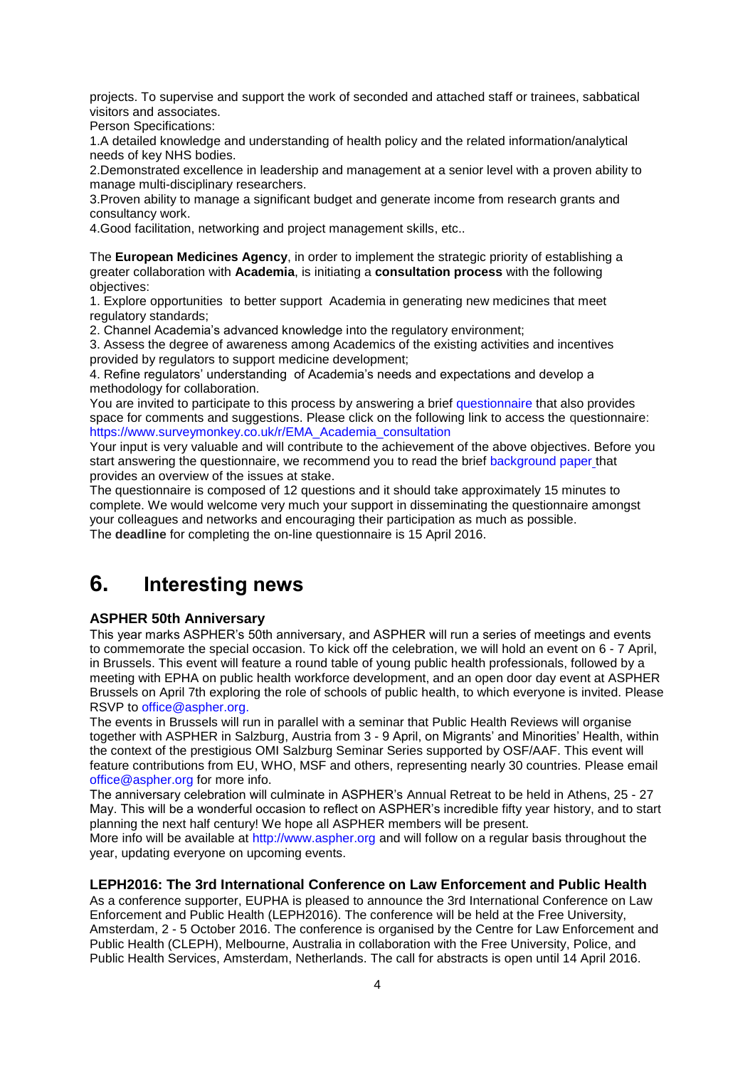projects. To supervise and support the work of seconded and attached staff or trainees, sabbatical visitors and associates.

Person Specifications:

1.A detailed knowledge and understanding of health policy and the related information/analytical needs of key NHS bodies.

2.Demonstrated excellence in leadership and management at a senior level with a proven ability to manage multi-disciplinary researchers.

3.Proven ability to manage a significant budget and generate income from research grants and consultancy work.

4.Good facilitation, networking and project management skills, etc..

The **European Medicines Agency**, in order to implement the strategic priority of establishing a greater collaboration with **Academia**, is initiating a **consultation process** with the following objectives:

1. Explore opportunities to better support Academia in generating new medicines that meet regulatory standards:

2. Channel Academia's advanced knowledge into the regulatory environment;

3. Assess the degree of awareness among Academics of the existing activities and incentives provided by regulators to support medicine development;

4. Refine regulators' understanding of Academia's needs and expectations and develop a methodology for collaboration.

You are invited to participate to this process by answering a brief [questionnaire](https://www.surveymonkey.co.uk/r/EMA_Academia_consultation) that also provides space for comments and suggestions. Please click on the following link to access the questionnaire: [https://www.surveymonkey.co.uk/r/EMA\\_Academia\\_consultation](https://www.surveymonkey.co.uk/r/EMA_Academia_consultation)

Your input is very valuable and will contribute to the achievement of the above objectives. Before you start answering the questionnaire, we recommend you to read the brief [background paper](http://www.ema.europa.eu/docs/en_GB/document_library/Other/2016/02/WC500200827.pdf) that provides an overview of the issues at stake.

The questionnaire is composed of 12 questions and it should take approximately 15 minutes to complete. We would welcome very much your support in disseminating the questionnaire amongst your colleagues and networks and encouraging their participation as much as possible. The **deadline** for completing the on-line questionnaire is 15 April 2016.

# <span id="page-3-0"></span>**6. Interesting news**

## <span id="page-3-1"></span>**ASPHER 50th Anniversary**

This year marks ASPHER's 50th anniversary, and ASPHER will run a series of meetings and events to commemorate the special occasion. To kick off the celebration, we will hold an event on 6 - 7 April, in Brussels. This event will feature a round table of young public health professionals, followed by a meeting with EPHA on public health workforce development, and an open door day event at ASPHER Brussels on April 7th exploring the role of schools of public health, to which everyone is invited. Please RSVP to [office@aspher.org.](mailto:office@aspher.org)

The events in Brussels will run in parallel with a seminar that Public Health Reviews will organise together with ASPHER in Salzburg, Austria from 3 - 9 April, on Migrants' and Minorities' Health, within the context of the prestigious OMI Salzburg Seminar Series supported by OSF/AAF. This event will feature contributions from EU, WHO, MSF and others, representing nearly 30 countries. Please email [office@aspher.org](mailto:office@aspher.org) for more info.

The anniversary celebration will culminate in ASPHER's Annual Retreat to be held in Athens, 25 - 27 May. This will be a wonderful occasion to reflect on ASPHER's incredible fifty year history, and to start planning the next half century! We hope all ASPHER members will be present.

More info will be available at [http://www.aspher.org](http://www.aspher.org/) and will follow on a regular basis throughout the year, updating everyone on upcoming events.

### <span id="page-3-2"></span>**LEPH2016: The 3rd International Conference on Law Enforcement and Public Health**

As a conference supporter, EUPHA is pleased to announce the 3rd International Conference on Law Enforcement and Public Health (LEPH2016). The conference will be held at the Free University, Amsterdam, 2 - 5 October 2016. The conference is organised by the Centre for Law Enforcement and Public Health (CLEPH), Melbourne, Australia in collaboration with the Free University, Police, and Public Health Services, Amsterdam, Netherlands. The call for abstracts is open until 14 April 2016.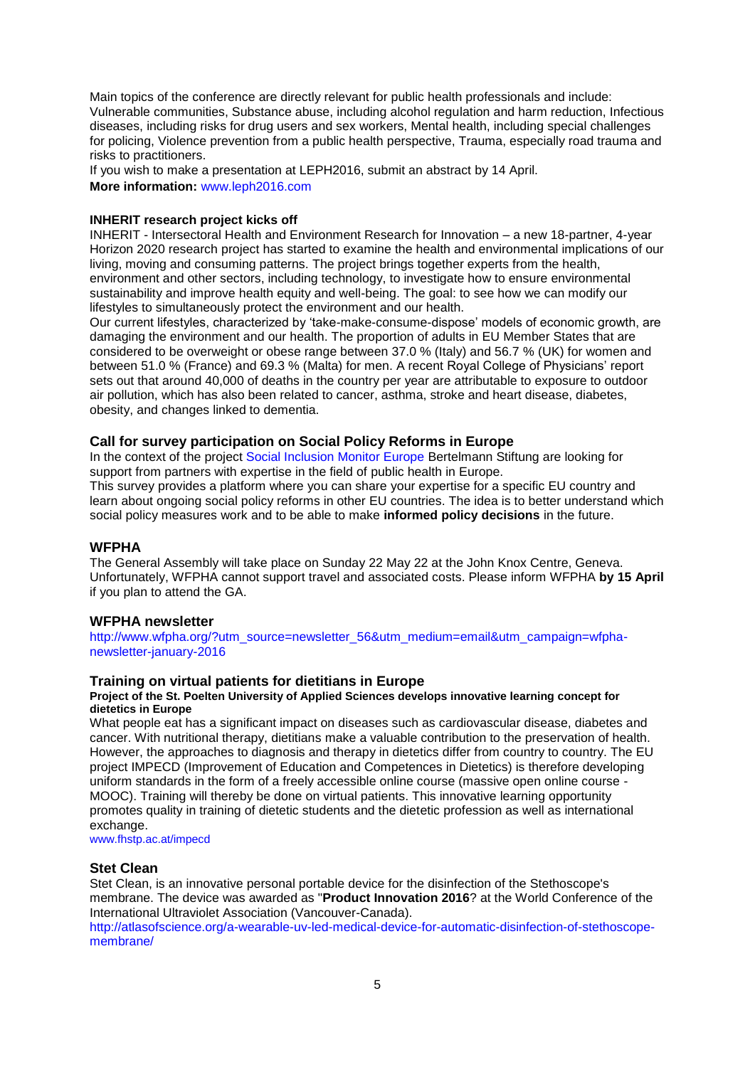Main topics of the conference are directly relevant for public health professionals and include: Vulnerable communities, Substance abuse, including alcohol regulation and harm reduction, Infectious diseases, including risks for drug users and sex workers, Mental health, including special challenges for policing, Violence prevention from a public health perspective, Trauma, especially road trauma and risks to practitioners.

If you wish to make a presentation at LEPH2016, submit an abstract by 14 April. **More information:** [www.leph2016.com](http://www.leph2016.com/)

#### **INHERIT research project kicks off**

INHERIT - Intersectoral Health and Environment Research for Innovation – a new 18-partner, 4-year Horizon 2020 research project has started to examine the health and environmental implications of our living, moving and consuming patterns. The project brings together experts from the health, environment and other sectors, including technology, to investigate how to ensure environmental sustainability and improve health equity and well-being. The goal: to see how we can modify our lifestyles to simultaneously protect the environment and our health.

Our current lifestyles, characterized by 'take-make-consume-dispose' models of economic growth, are damaging the environment and our health. The proportion of adults in EU Member States that are considered to be overweight or obese range between 37.0 % (Italy) and 56.7 % (UK) for women and between 51.0 % (France) and 69.3 % (Malta) for men. A recent Royal College of Physicians' report sets out that around 40,000 of deaths in the country per year are attributable to exposure to outdoor air pollution, which has also been related to cancer, asthma, stroke and heart disease, diabetes, obesity, and changes linked to dementia.

#### <span id="page-4-0"></span>**Call for survey participation on Social Policy Reforms in Europe**

In the context of the project [Social Inclusion Monitor Europe](http://www.social-inclusion-monitor.eu/) Bertelmann Stiftung are looking for support from partners with expertise in the field of public health in Europe.

This survey provides a platform where you can share your expertise for a specific EU country and learn about ongoing social policy reforms in other EU countries. The idea is to better understand which social policy measures work and to be able to make **informed policy decisions** in the future.

#### <span id="page-4-1"></span>**WFPHA**

The General Assembly will take place on Sunday 22 May 22 at the [John Knox Centre](http://www.johnknox.ch/home/access/), Geneva. Unfortunately, WFPHA cannot support travel and associated costs. Please inform WFPHA **by 15 April**  if you plan to attend the GA.

#### <span id="page-4-2"></span>**WFPHA newsletter**

[http://www.wfpha.org/?utm\\_source=newsletter\\_56&utm\\_medium=email&utm\\_campaign=wfpha](http://www.wfpha.org/?utm_source=newsletter_56&utm_medium=email&utm_campaign=wfpha-newsletter-january-2016)[newsletter-january-2016](http://www.wfpha.org/?utm_source=newsletter_56&utm_medium=email&utm_campaign=wfpha-newsletter-january-2016)

### <span id="page-4-3"></span>**Training on virtual patients for dietitians in Europe**

#### **Project of the St. Poelten University of Applied Sciences develops innovative learning concept for dietetics in Europe**

What people eat has a significant impact on diseases such as cardiovascular disease, diabetes and cancer. With nutritional therapy, dietitians make a valuable contribution to the preservation of health. However, the approaches to diagnosis and therapy in dietetics differ from country to country. The EU project IMPECD (Improvement of Education and Competences in Dietetics) is therefore developing uniform standards in the form of a freely accessible online course (massive open online course - MOOC). Training will thereby be done on virtual patients. This innovative learning opportunity promotes quality in training of dietetic students and the dietetic profession as well as international exchange.

[www.fhstp.ac.at/impecd](http://www.fhstp.ac.at/impecd)

#### <span id="page-4-4"></span>**Stet Clean**

Stet Clean, is an innovative personal portable device for the disinfection of the Stethoscope's membrane. The device was awarded as "**Product Innovation 2016**? at the World Conference of the International Ultraviolet Association (Vancouver-Canada).

[http://atlasofscience.org/a-wearable-uv-led-medical-device-for-automatic-disinfection-of-stethoscope](http://atlasofscience.org/a-wearable-uv-led-medical-device-for-automatic-disinfection-of-stethoscope-membrane/)[membrane/](http://atlasofscience.org/a-wearable-uv-led-medical-device-for-automatic-disinfection-of-stethoscope-membrane/)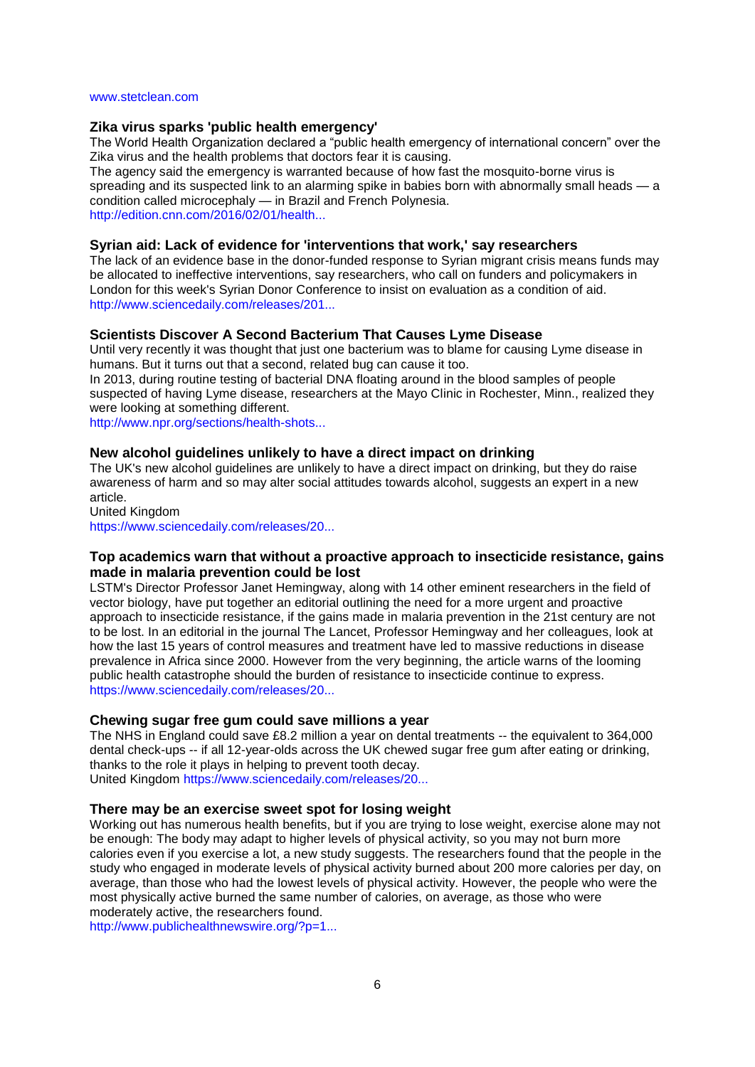#### [www.stetclean.com](http://www.stetclean.com/)

#### <span id="page-5-0"></span>**Zika virus sparks 'public health emergency'**

The World Health Organization declared a "public health emergency of international concern" over the Zika virus and the health problems that doctors fear it is causing.

The agency said the emergency is warranted because of how fast the mosquito-borne virus is spreading and its suspected link to an alarming spike in babies born with abnormally small heads — a condition called microcephaly — in Brazil and French Polynesia. [http://edition.cnn.com/2016/02/01/health...](http://edition.cnn.com/2016/02/01/health/zika-virus-public-health-emergency/)

#### <span id="page-5-1"></span>**Syrian aid: Lack of evidence for 'interventions that work,' say researchers**

The lack of an evidence base in the donor-funded response to Syrian migrant crisis means funds may be allocated to ineffective interventions, say researchers, who call on funders and policymakers in London for this week's Syrian Donor Conference to insist on evaluation as a condition of aid. [http://www.sciencedaily.com/releases/201...](http://www.sciencedaily.com/releases/2016/02/160204085107.htm?utm_source=feedburner&utm_medium=email&utm_campaign=Feed%3A+sciencedaily%2Fscience_society%2Fpublic_health+%28Public+Health+News+--+Scienc)

#### <span id="page-5-2"></span>**Scientists Discover A Second Bacterium That Causes Lyme Disease**

Until very recently it was thought that just one bacterium was to blame for causing Lyme disease in humans. But it turns out that a second, related bug can cause it too.

In 2013, during routine testing of bacterial DNA floating around in the blood samples of people suspected of having Lyme disease, researchers at the Mayo Clinic in Rochester, Minn., realized they were looking at something different.

[http://www.npr.org/sections/health-shots...](http://www.npr.org/sections/health-shots/2016/02/08/466032063/scientists-discover-a-second-bacterium-that-causes-lyme-disease?utm_campaign=KHN%3A+First+Edition&utm_source=hs_email&utm_medium=email&utm)

### <span id="page-5-3"></span>**New alcohol guidelines unlikely to have a direct impact on drinking**

The UK's new alcohol guidelines are unlikely to have a direct impact on drinking, but they do raise awareness of harm and so may alter social attitudes towards alcohol, suggests an expert in a new article.

United Kingdom

[https://www.sciencedaily.com/releases/20...](http://euphapedia.eupha.org/newsletter/https:/www.sciencedaily.com/releases/2016/02/160211082300.htm?utm_source=feedburner&utm_medium=email&utm_campaign=Feed%3A+sciencedaily%2Fscience_society%2Fpublic_health+%28Public+Health+News+--+Scien)

## <span id="page-5-4"></span>**Top academics warn that without a proactive approach to insecticide resistance, gains made in malaria prevention could be lost**

LSTM's Director Professor Janet Hemingway, along with 14 other eminent researchers in the field of vector biology, have put together an editorial outlining the need for a more urgent and proactive approach to insecticide resistance, if the gains made in malaria prevention in the 21st century are not to be lost. In an editorial in the journal The Lancet, Professor Hemingway and her colleagues, look at how the last 15 years of control measures and treatment have led to massive reductions in disease prevalence in Africa since 2000. However from the very beginning, the article warns of the looming public health catastrophe should the burden of resistance to insecticide continue to express. [https://www.sciencedaily.com/releases/20...](http://euphapedia.eupha.org/newsletter/https:/www.sciencedaily.com/releases/2016/02/160213075128.htm?utm_source=feedburner&utm_medium=email&utm_campaign=Feed%3A+sciencedaily%2Fscience_society%2Fpublic_health+%28Public+Health+News+--+Scien)

### <span id="page-5-5"></span>**Chewing sugar free gum could save millions a year**

The NHS in England could save £8.2 million a year on dental treatments -- the equivalent to 364,000 dental check-ups -- if all 12-year-olds across the UK chewed sugar free gum after eating or drinking, thanks to the role it plays in helping to prevent tooth decay. United Kingdom [https://www.sciencedaily.com/releases/20...](http://euphapedia.eupha.org/newsletter/https:/www.sciencedaily.com/releases/2016/02/160216111404.htm?utm_source=feedburner&utm_medium=email&utm_campaign=Feed%3A+sciencedaily%2Fscience_society%2Fpublic_health+%28Public+Health+News+--+Scien)

#### <span id="page-5-6"></span>**There may be an exercise sweet spot for losing weight**

Working out has numerous health benefits, but if you are trying to lose weight, exercise alone may not be enough: The body may adapt to higher levels of physical activity, so you may not burn more calories even if you exercise a lot, a new study suggests. The researchers found that the people in the study who engaged in moderate levels of physical activity burned about 200 more calories per day, on average, than those who had the lowest levels of physical activity. However, the people who were the most physically active burned the same number of calories, on average, as those who were moderately active, the researchers found.

[http://www.publichealthnewswire.org/?p=1...](http://www.publichealthnewswire.org/?p=14575)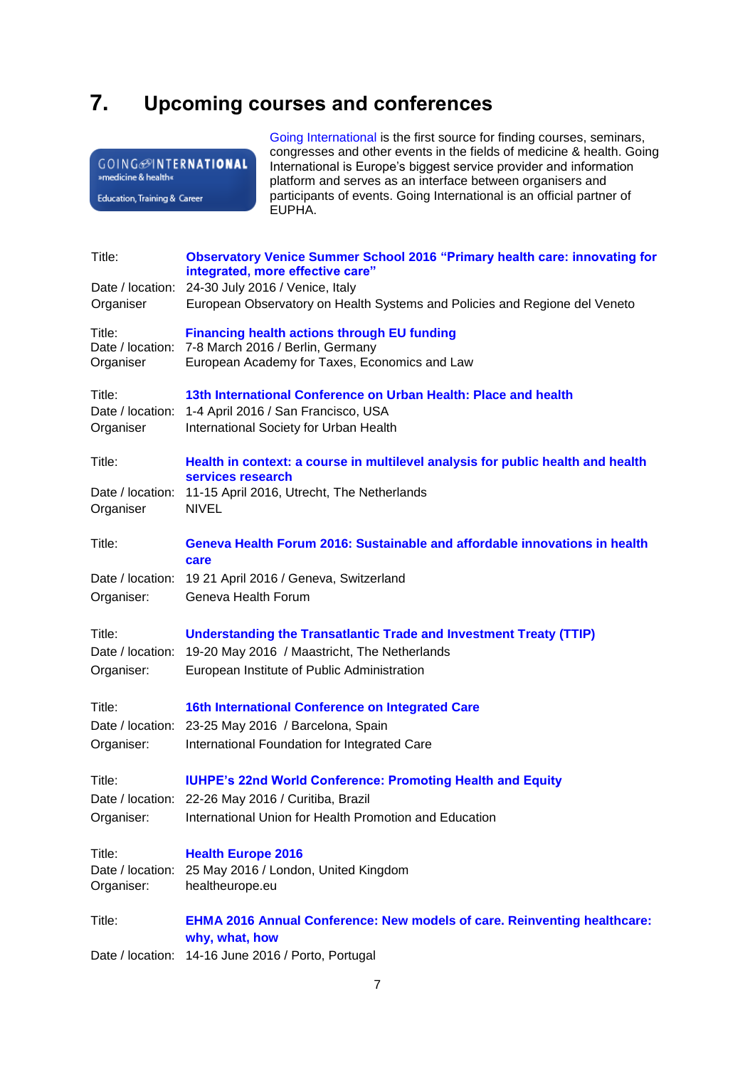## <span id="page-6-0"></span>**7. Upcoming courses and conferences**

| <b>GOING</b> @INTERNATIONAL<br>»medicine & health«                                       |                                                                                                               | Congresses and other events in the helds of medicine & health. Going<br>International is Europe's biggest service provider and information<br>platform and serves as an interface between organisers and |  |  |
|------------------------------------------------------------------------------------------|---------------------------------------------------------------------------------------------------------------|----------------------------------------------------------------------------------------------------------------------------------------------------------------------------------------------------------|--|--|
| Education, Training & Career                                                             |                                                                                                               | participants of events. Going International is an official partner of<br>EUPHA.                                                                                                                          |  |  |
| Title:                                                                                   |                                                                                                               | <b>Observatory Venice Summer School 2016 "Primary health care: innovating for</b>                                                                                                                        |  |  |
|                                                                                          |                                                                                                               | integrated, more effective care"                                                                                                                                                                         |  |  |
| Date / location:<br>Organiser                                                            | 24-30 July 2016 / Venice, Italy<br>European Observatory on Health Systems and Policies and Regione del Veneto |                                                                                                                                                                                                          |  |  |
| Title:                                                                                   | <b>Financing health actions through EU funding</b>                                                            |                                                                                                                                                                                                          |  |  |
| Date / location:                                                                         | 7-8 March 2016 / Berlin, Germany                                                                              |                                                                                                                                                                                                          |  |  |
| Organiser                                                                                |                                                                                                               | European Academy for Taxes, Economics and Law                                                                                                                                                            |  |  |
| Title:                                                                                   |                                                                                                               | 13th International Conference on Urban Health: Place and health                                                                                                                                          |  |  |
| Organiser                                                                                | Date / location: 1-4 April 2016 / San Francisco, USA<br>International Society for Urban Health                |                                                                                                                                                                                                          |  |  |
| Title:                                                                                   |                                                                                                               | Health in context: a course in multilevel analysis for public health and health                                                                                                                          |  |  |
|                                                                                          | services research                                                                                             |                                                                                                                                                                                                          |  |  |
| Date / location: 11-15 April 2016, Utrecht, The Netherlands<br><b>NIVEL</b><br>Organiser |                                                                                                               |                                                                                                                                                                                                          |  |  |
| Title:                                                                                   |                                                                                                               | Geneva Health Forum 2016: Sustainable and affordable innovations in health                                                                                                                               |  |  |
| Date / location:                                                                         | care                                                                                                          |                                                                                                                                                                                                          |  |  |
| Organiser:                                                                               | 19 21 April 2016 / Geneva, Switzerland<br>Geneva Health Forum                                                 |                                                                                                                                                                                                          |  |  |
| Title:                                                                                   |                                                                                                               | <b>Understanding the Transatlantic Trade and Investment Treaty (TTIP)</b>                                                                                                                                |  |  |
| Date / location:                                                                         | 19-20 May 2016 / Maastricht, The Netherlands                                                                  |                                                                                                                                                                                                          |  |  |
| Organiser:                                                                               | European Institute of Public Administration                                                                   |                                                                                                                                                                                                          |  |  |
| Title:                                                                                   |                                                                                                               | 16th International Conference on Integrated Care                                                                                                                                                         |  |  |
|                                                                                          | Date / location: 23-25 May 2016 / Barcelona, Spain                                                            |                                                                                                                                                                                                          |  |  |
| Organiser:                                                                               | International Foundation for Integrated Care                                                                  |                                                                                                                                                                                                          |  |  |
| Title:                                                                                   |                                                                                                               | <b>IUHPE's 22nd World Conference: Promoting Health and Equity</b>                                                                                                                                        |  |  |
|                                                                                          | Date / location: 22-26 May 2016 / Curitiba, Brazil                                                            |                                                                                                                                                                                                          |  |  |
| Organiser:                                                                               |                                                                                                               | International Union for Health Promotion and Education                                                                                                                                                   |  |  |
| Title:                                                                                   | <b>Health Europe 2016</b>                                                                                     |                                                                                                                                                                                                          |  |  |
| Date / location:                                                                         |                                                                                                               | 25 May 2016 / London, United Kingdom                                                                                                                                                                     |  |  |
| Organiser:                                                                               | healtheurope.eu                                                                                               |                                                                                                                                                                                                          |  |  |
| Title:                                                                                   | why, what, how                                                                                                | EHMA 2016 Annual Conference: New models of care. Reinventing healthcare:                                                                                                                                 |  |  |
| Date / location:                                                                         |                                                                                                               | 14-16 June 2016 / Porto, Portugal                                                                                                                                                                        |  |  |

[Going International](http://www.goinginternational.eu/) is the first source for finding courses, seminars, congresses and other events in the fields of medicine & health. Going International is Europe's biggest service provider and information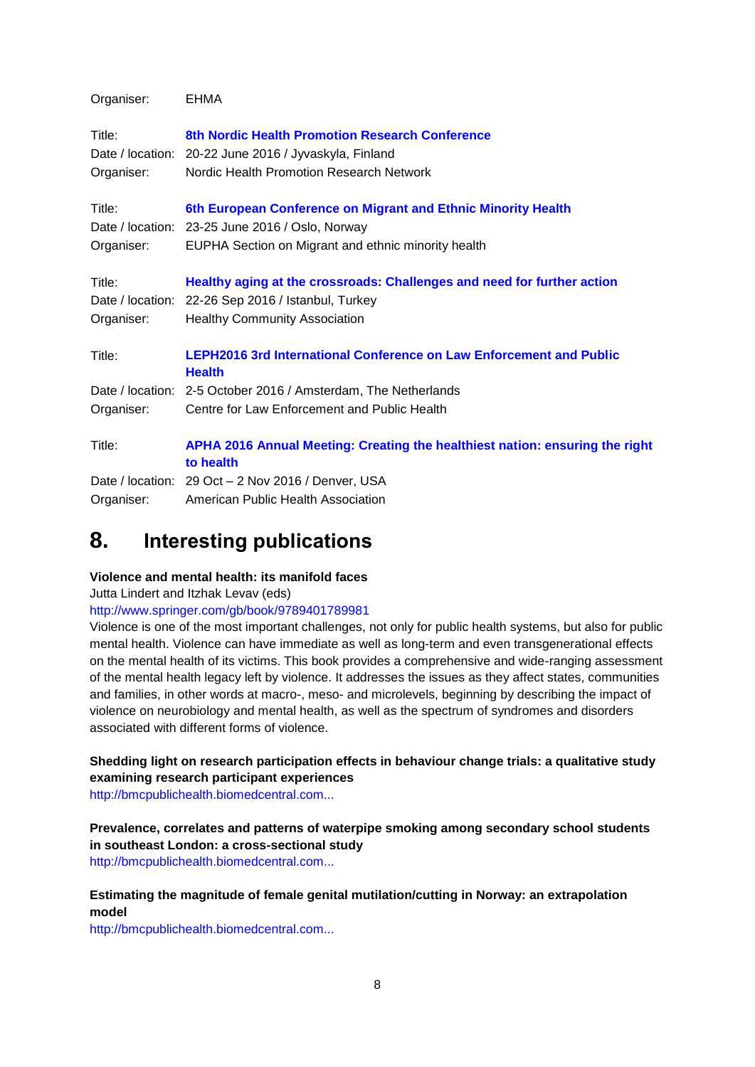| Organiser: | <b>EHMA</b>                                                                                 |  |  |  |
|------------|---------------------------------------------------------------------------------------------|--|--|--|
| Title:     | 8th Nordic Health Promotion Research Conference                                             |  |  |  |
|            | Date / location: 20-22 June 2016 / Jyvaskyla, Finland                                       |  |  |  |
| Organiser: | Nordic Health Promotion Research Network                                                    |  |  |  |
| Title:     | 6th European Conference on Migrant and Ethnic Minority Health                               |  |  |  |
|            | Date / location: 23-25 June 2016 / Oslo, Norway                                             |  |  |  |
| Organiser: | EUPHA Section on Migrant and ethnic minority health                                         |  |  |  |
| Title:     | Healthy aging at the crossroads: Challenges and need for further action                     |  |  |  |
|            | Date / location: 22-26 Sep 2016 / Istanbul, Turkey                                          |  |  |  |
| Organiser: | <b>Healthy Community Association</b>                                                        |  |  |  |
| Title:     | <b>LEPH2016 3rd International Conference on Law Enforcement and Public</b><br><b>Health</b> |  |  |  |
|            | Date / location: 2-5 October 2016 / Amsterdam, The Netherlands                              |  |  |  |
| Organiser: | Centre for Law Enforcement and Public Health                                                |  |  |  |
| Title:     | APHA 2016 Annual Meeting: Creating the healthiest nation: ensuring the right<br>to health   |  |  |  |
|            | Date / location: 29 Oct - 2 Nov 2016 / Denver, USA                                          |  |  |  |
| Organiser: | American Public Health Association                                                          |  |  |  |

## <span id="page-7-0"></span>**8. Interesting publications**

## **Violence and mental health: its manifold faces**

Jutta Lindert and Itzhak Levav (eds)

## <http://www.springer.com/gb/book/9789401789981>

Violence is one of the most important challenges, not only for public health systems, but also for public mental health. Violence can have immediate as well as long-term and even transgenerational effects on the mental health of its victims. This book provides a comprehensive and wide-ranging assessment of the mental health legacy left by violence. It addresses the issues as they affect states, communities and families, in other words at macro-, meso- and microlevels, beginning by describing the impact of violence on neurobiology and mental health, as well as the spectrum of syndromes and disorders associated with different forms of violence.

**Shedding light on research participation effects in behaviour change trials: a qualitative study examining research participant experiences**

[http://bmcpublichealth.biomedcentral.com...](http://bmcpublichealth.biomedcentral.com/articles/10.1186/s12889-016-2741-6)

**Prevalence, correlates and patterns of waterpipe smoking among secondary school students in southeast London: a cross-sectional study** [http://bmcpublichealth.biomedcentral.com...](http://bmcpublichealth.biomedcentral.com/articles/10.1186/s12889-016-2770-1)

## **Estimating the magnitude of female genital mutilation/cutting in Norway: an extrapolation model**

[http://bmcpublichealth.biomedcentral.com...](http://bmcpublichealth.biomedcentral.com/articles/10.1186/s12889-016-2794-6)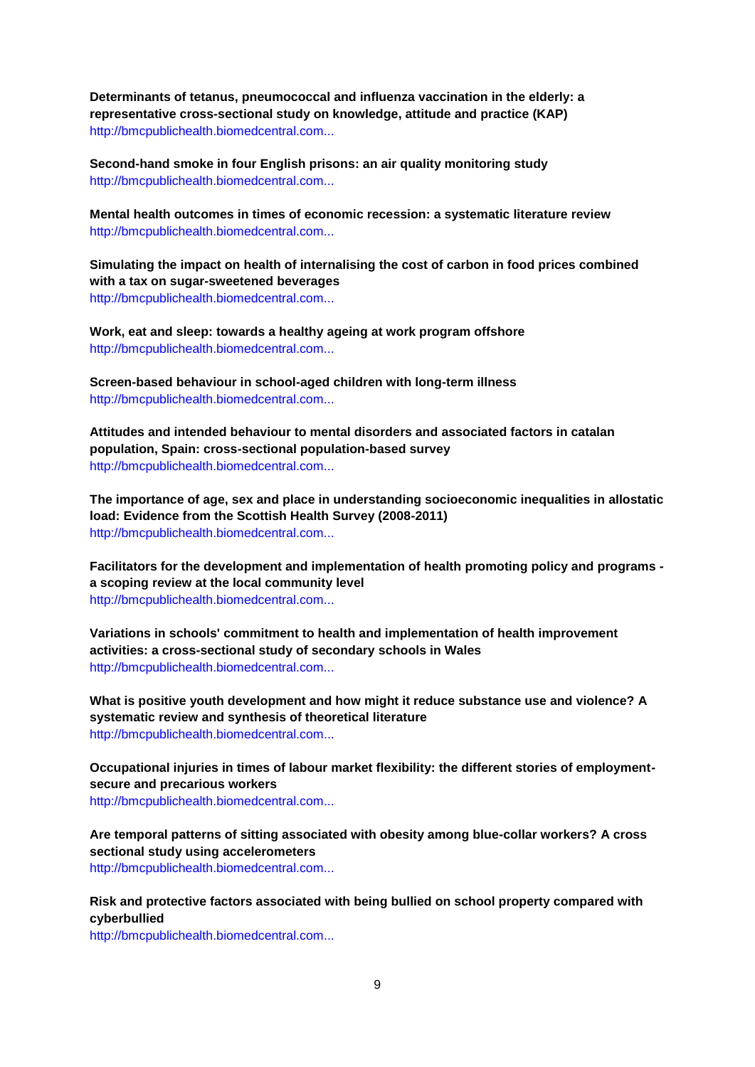**Determinants of tetanus, pneumococcal and influenza vaccination in the elderly: a representative cross-sectional study on knowledge, attitude and practice (KAP)** [http://bmcpublichealth.biomedcentral.com...](http://bmcpublichealth.biomedcentral.com/articles/10.1186/s12889-016-2784-8)

**Second-hand smoke in four English prisons: an air quality monitoring study** [http://bmcpublichealth.biomedcentral.com...](http://bmcpublichealth.biomedcentral.com/articles/10.1186/s12889-016-2757-y)

**Mental health outcomes in times of economic recession: a systematic literature review** [http://bmcpublichealth.biomedcentral.com...](http://bmcpublichealth.biomedcentral.com/articles/10.1186/s12889-016-2720-y)

**Simulating the impact on health of internalising the cost of carbon in food prices combined with a tax on sugar-sweetened beverages** [http://bmcpublichealth.biomedcentral.com...](http://bmcpublichealth.biomedcentral.com/articles/10.1186/s12889-016-2723-8)

**Work, eat and sleep: towards a healthy ageing at work program offshore** [http://bmcpublichealth.biomedcentral.com...](http://bmcpublichealth.biomedcentral.com/articles/10.1186/s12889-016-2807-5)

**Screen-based behaviour in school-aged children with long-term illness** [http://bmcpublichealth.biomedcentral.com...](http://bmcpublichealth.biomedcentral.com/articles/10.1186/s12889-016-2804-8)

**Attitudes and intended behaviour to mental disorders and associated factors in catalan population, Spain: cross-sectional population-based survey** [http://bmcpublichealth.biomedcentral.com...](http://bmcpublichealth.biomedcentral.com/articles/10.1186/s12889-016-2815-5)

**The importance of age, sex and place in understanding socioeconomic inequalities in allostatic load: Evidence from the Scottish Health Survey (2008-2011)** [http://bmcpublichealth.biomedcentral.com...](http://bmcpublichealth.biomedcentral.com/articles/10.1186/s12889-016-2796-4)

**Facilitators for the development and implementation of health promoting policy and programs a scoping review at the local community level** [http://bmcpublichealth.biomedcentral.com...](http://bmcpublichealth.biomedcentral.com/articles/10.1186/s12889-016-2811-9)

**Variations in schools' commitment to health and implementation of health improvement activities: a cross-sectional study of secondary schools in Wales** [http://bmcpublichealth.biomedcentral.com...](http://bmcpublichealth.biomedcentral.com/articles/10.1186/s12889-016-2763-0)

**What is positive youth development and how might it reduce substance use and violence? A systematic review and synthesis of theoretical literature** [http://bmcpublichealth.biomedcentral.com...](http://bmcpublichealth.biomedcentral.com/articles/10.1186/s12889-016-2817-3)

**Occupational injuries in times of labour market flexibility: the different stories of employmentsecure and precarious workers** [http://bmcpublichealth.biomedcentral.com...](http://bmcpublichealth.biomedcentral.com/articles/10.1186/s12889-016-2834-2)

**Are temporal patterns of sitting associated with obesity among blue-collar workers? A cross sectional study using accelerometers**

[http://bmcpublichealth.biomedcentral.com...](http://bmcpublichealth.biomedcentral.com/articles/10.1186/s12889-016-2803-9)

**Risk and protective factors associated with being bullied on school property compared with cyberbullied**

[http://bmcpublichealth.biomedcentral.com...](http://bmcpublichealth.biomedcentral.com/articles/10.1186/s12889-016-2833-3)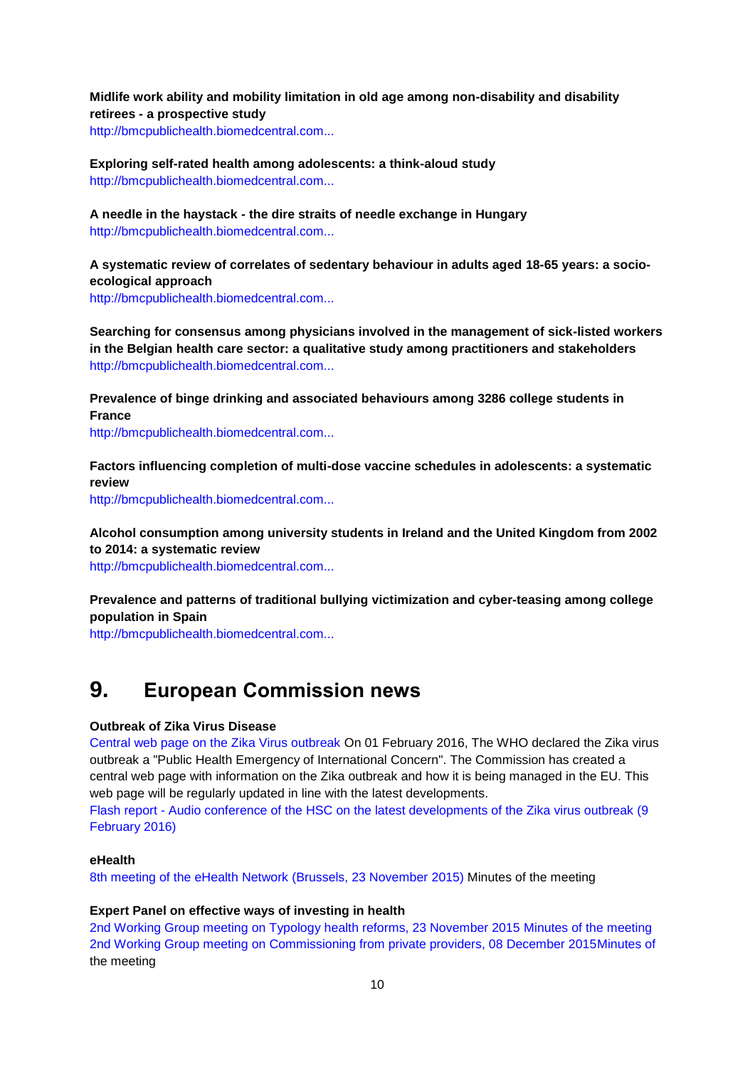**Midlife work ability and mobility limitation in old age among non-disability and disability retirees - a prospective study** [http://bmcpublichealth.biomedcentral.com...](http://bmcpublichealth.biomedcentral.com/articles/10.1186/s12889-016-2846-y)

**Exploring self-rated health among adolescents: a think-aloud study** [http://bmcpublichealth.biomedcentral.com...](http://bmcpublichealth.biomedcentral.com/articles/10.1186/s12889-016-2837-z)

**A needle in the haystack - the dire straits of needle exchange in Hungary** [http://bmcpublichealth.biomedcentral.com...](http://bmcpublichealth.biomedcentral.com/articles/10.1186/s12889-016-2842-2)

**A systematic review of correlates of sedentary behaviour in adults aged 18-65 years: a socioecological approach**

[http://bmcpublichealth.biomedcentral.com...](http://bmcpublichealth.biomedcentral.com/articles/10.1186/s12889-016-2841-3)

**Searching for consensus among physicians involved in the management of sick-listed workers in the Belgian health care sector: a qualitative study among practitioners and stakeholders** [http://bmcpublichealth.biomedcentral.com...](http://bmcpublichealth.biomedcentral.com/articles/10.1186/s12889-016-2696-7)

**Prevalence of binge drinking and associated behaviours among 3286 college students in France**

[http://bmcpublichealth.biomedcentral.com...](http://bmcpublichealth.biomedcentral.com/articles/10.1186/s12889-016-2863-x)

**Factors influencing completion of multi-dose vaccine schedules in adolescents: a systematic review**

[http://bmcpublichealth.biomedcentral.com...](http://bmcpublichealth.biomedcentral.com/articles/10.1186/s12889-016-2845-z)

**Alcohol consumption among university students in Ireland and the United Kingdom from 2002 to 2014: a systematic review**

[http://bmcpublichealth.biomedcentral.com...](http://bmcpublichealth.biomedcentral.com/articles/10.1186/s12889-016-2843-1)

**Prevalence and patterns of traditional bullying victimization and cyber-teasing among college population in Spain**

[http://bmcpublichealth.biomedcentral.com...](http://bmcpublichealth.biomedcentral.com/articles/10.1186/s12889-016-2857-8)

## <span id="page-9-0"></span>**9. European Commission news**

#### **Outbreak of Zika Virus Disease**

[Central web page on the Zika Virus outbreak](http://ec.europa.eu/health/zika/index_en.htm) On 01 February 2016, The WHO declared the Zika virus outbreak a "Public Health Emergency of International Concern". The Commission has created a central web page with information on the Zika outbreak and how it is being managed in the EU. This web page will be regularly updated in line with the latest developments.

Flash report - [Audio conference of the HSC on the latest developments of the Zika virus outbreak \(9](http://ec.europa.eu/health/preparedness_response/docs/ev_20160209_flash_en.pdf)  [February 2016\)](http://ec.europa.eu/health/preparedness_response/docs/ev_20160209_flash_en.pdf)

#### **eHealth**

[8th meeting of the eHealth Network \(Brussels, 23 November](http://ec.europa.eu/health/ehealth/events/ev_20151123_en.htm) 2015) Minutes of the meeting

#### **Expert Panel on effective ways of investing in health**

[2nd Working Group meeting on Typology health reforms, 23 November 2015](http://ec.europa.eu/health/expert_panel/meetings/docs/ev_20151123_mi_en.pdf) Minutes of the meeting [2nd Working Group meeting on Commissioning from private providers, 08 December 2015M](http://ec.europa.eu/health/expert_panel/meetings/docs/ev_20151208_mi_en.pdf)inutes of the meeting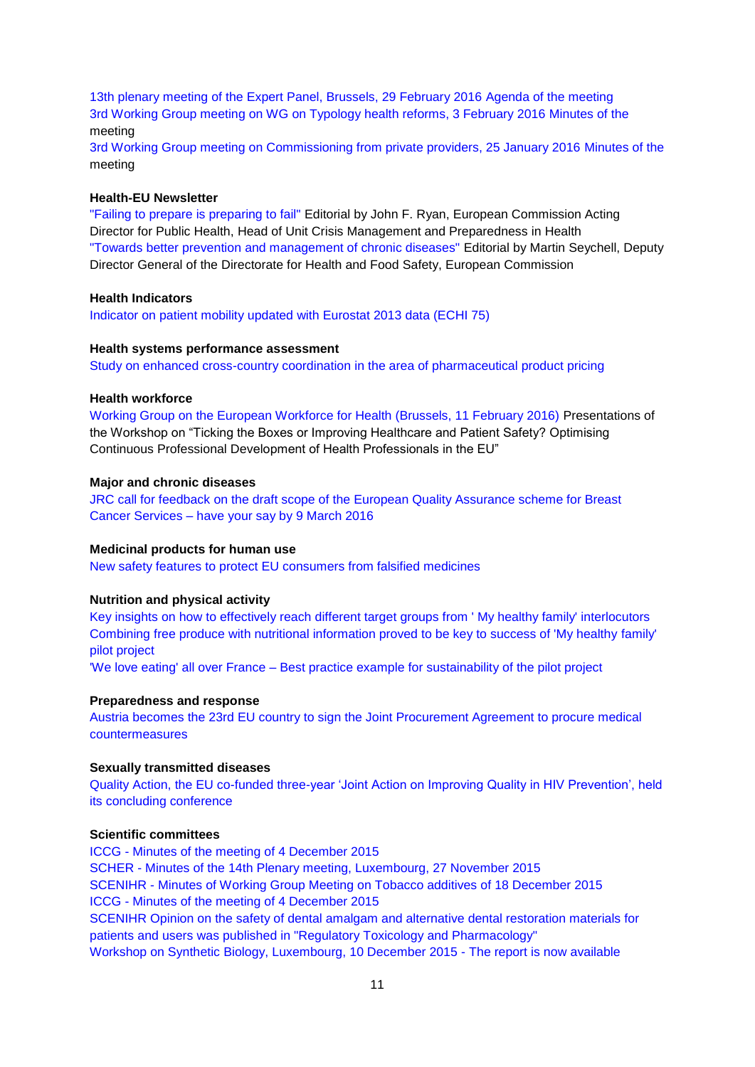[13th plenary meeting of the Expert Panel, Brussels, 29 February 2016](http://ec.europa.eu/health/expert_panel/meetings/docs/ev_20160229_ag_en.pdf) Agenda of the meeting [3rd Working Group meeting on WG on Typology health reforms, 3 February 2016](http://ec.europa.eu/health/expert_panel/meetings/docs/ev_20160203_mi_en.pdf) Minutes of the meeting

[3rd Working Group meeting on Commissioning from private providers, 25 January 2016](http://ec.europa.eu/health/expert_panel/meetings/docs/ev_20160125_mi_en.pdf) Minutes of the meeting

#### **Health-EU Newsletter**

["Failing to prepare is preparing to fail"](http://ec.europa.eu/health/newsletter/168/newsletter_en.htm) Editorial by John F. Ryan, European Commission Acting Director for Public Health, Head of Unit Crisis Management and Preparedness in Health ["Towards better prevention and management of chronic diseases"](http://ec.europa.eu/health/newsletter/169/newsletter_en.htm) Editorial by Martin Seychell, Deputy Director General of the Directorate for Health and Food Safety, European Commission

#### **Health Indicators**

[Indicator on patient mobility updated with Eurostat 2013 data \(ECHI 75\)](http://ec.europa.eu/health/indicators/echi/list/index_en.htm#id4)

#### **Health systems performance assessment**

[Study on enhanced cross-country coordination in the area of pharmaceutical product pricing](http://ec.europa.eu/health/systems_performance_assessment/publications/index_en.htm)

#### **Health workforce**

[Working Group on the European Workforce for Health \(Brussels, 11 February 2016\)](http://ec.europa.eu/health/workforce/events/ev_20160211_en.htm) Presentations of the Workshop on "Ticking the Boxes or Improving Healthcare and Patient Safety? Optimising Continuous Professional Development of Health Professionals in the EU"

#### **Major and chronic diseases**

[JRC call for feedback on the draft scope of the European Quality Assurance scheme for Breast](http://ec.europa.eu/health/major_chronic_diseases/docs/ecibc_en.pdf)  Cancer Services – [have your say by 9 March 2016](http://ec.europa.eu/health/major_chronic_diseases/docs/ecibc_en.pdf)

#### **Medicinal products for human use**

[New safety features to protect EU consumers from falsified medicines](http://ec.europa.eu/dgs/health_food-safety/dyna/enews/enews.cfm?al_id=1665)

#### **Nutrition and physical activity**

[Key insights on how to effectively reach different target groups from ' My healthy family' interlocutors](http://ec.europa.eu/health/nutrition_physical_activity/projects/ep_funded_projects_en.htm#fragment1) [Combining free produce with nutritional information proved to be key to success of 'My healthy](http://ec.europa.eu/health/nutrition_physical_activity/projects/ep_funded_projects_en.htm#fragment1) family' [pilot project](http://ec.europa.eu/health/nutrition_physical_activity/projects/ep_funded_projects_en.htm#fragment1)

'We love eating' all over France – [Best practice example for sustainability of the pilot project](http://ec.europa.eu/health/nutrition_physical_activity/projects/ep_funded_projects_en.htm#fragment0)

#### **Preparedness and response**

[Austria becomes the 23rd EU country to sign the Joint Procurement Agreement to procure medical](http://ec.europa.eu/health/preparedness_response/joint_procurement/jpa_signature_en.htm)  [countermeasures](http://ec.europa.eu/health/preparedness_response/joint_procurement/jpa_signature_en.htm)

#### **Sexually transmitted diseases**

[Quality Action, the EU co-funded three-year 'Joint Action on Improving Quality in HIV Prevention', held](http://ec.europa.eu/health/sti_prevention/docs/ev_20160126_mi_en.pdf)  [its concluding conference](http://ec.europa.eu/health/sti_prevention/docs/ev_20160126_mi_en.pdf)

## **Scientific committees**

ICCG - [Minutes of the meeting of 4 December 2015](http://ec.europa.eu/health/scientific_committees/inter_committee/docs/coor_mi_009.pdf) SCHER - [Minutes of the 14th Plenary meeting, Luxembourg, 27 November 2015](http://ec.europa.eu/health/scientific_committees/environmental_risks/docs/scher_mi_plenary_14_en.pdf) SCENIHR - [Minutes of Working Group Meeting on Tobacco additives of 18 December 2015](http://ec.europa.eu/health/scientific_committees/emerging/docs/scenihr_miwg_227.pdf) ICCG - [Minutes of the meeting of 4 December 2015](http://ec.europa.eu/health/scientific_committees/inter_committee/docs/coor_mi_009.pdf) [SCENIHR Opinion on the safety of dental amalgam and alternative dental restoration materials for](http://ec.europa.eu/health/scientific_committees/scientific_journals/index_en.htm#cat_medical_devices)  [patients and users was published in "Regulatory Toxicology and Pharmacology"](http://ec.europa.eu/health/scientific_committees/scientific_journals/index_en.htm#cat_medical_devices) [Workshop on Synthetic Biology, Luxembourg, 10 December 2015 -](http://ec.europa.eu/health/scientific_committees/events/ev_20151210_en.htm) The report is now available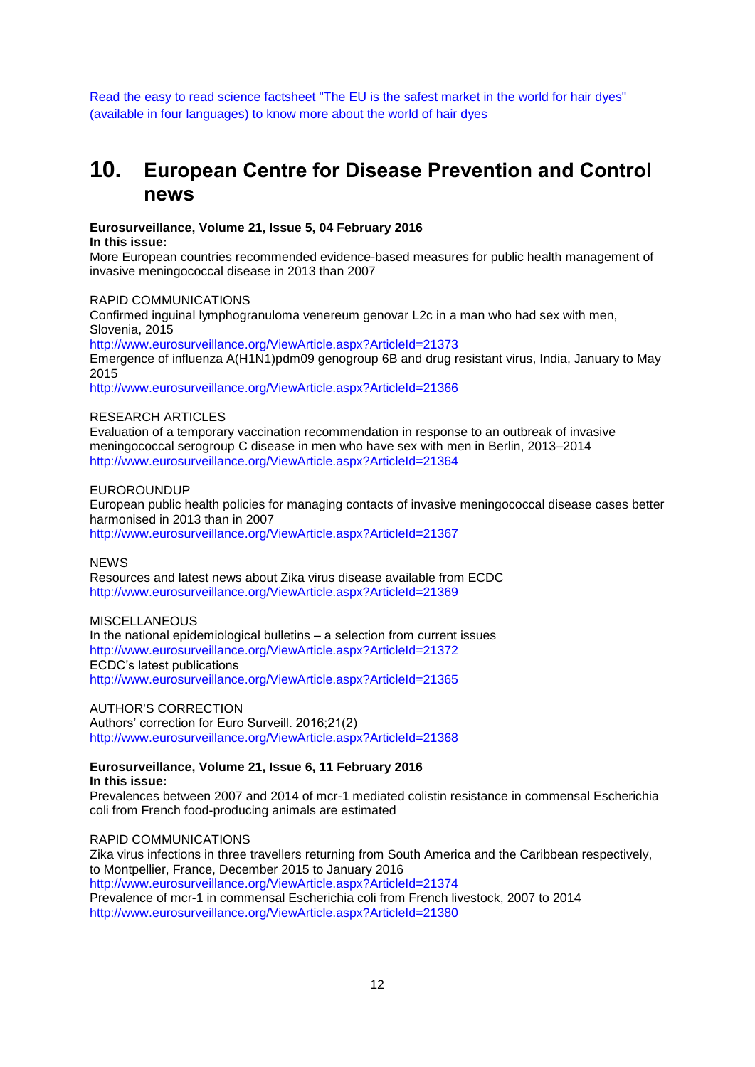[Read the easy to read science factsheet "The EU is the safest market in the world for hair dyes"](http://ec.europa.eu/health/scientific_committees/policy/opinions_plain_language/index_en.htm)  [\(available in four languages\) to know more about the world of hair dyes](http://ec.europa.eu/health/scientific_committees/policy/opinions_plain_language/index_en.htm)

## <span id="page-11-0"></span>**10. European Centre for Disease Prevention and Control news**

**Eurosurveillance, Volume 21, Issue 5, 04 February 2016 In this issue:** 

More European countries recommended evidence-based measures for public health management of invasive meningococcal disease in 2013 than 2007

### RAPID COMMUNICATIONS

Confirmed inguinal lymphogranuloma venereum genovar L2c in a man who had sex with men, Slovenia, 2015

<http://www.eurosurveillance.org/ViewArticle.aspx?ArticleId=21373>

Emergence of influenza A(H1N1)pdm09 genogroup 6B and drug resistant virus, India, January to May 2015

<http://www.eurosurveillance.org/ViewArticle.aspx?ArticleId=21366>

#### RESEARCH ARTICLES

Evaluation of a temporary vaccination recommendation in response to an outbreak of invasive meningococcal serogroup C disease in men who have sex with men in Berlin, 2013–2014 <http://www.eurosurveillance.org/ViewArticle.aspx?ArticleId=21364>

#### EUROROUNDUP

European public health policies for managing contacts of invasive meningococcal disease cases better harmonised in 2013 than in 2007 <http://www.eurosurveillance.org/ViewArticle.aspx?ArticleId=21367>

#### **NEWS**

Resources and latest news about Zika virus disease available from ECDC <http://www.eurosurveillance.org/ViewArticle.aspx?ArticleId=21369>

#### **MISCELLANEOUS**

In the national epidemiological bulletins – a selection from current issues <http://www.eurosurveillance.org/ViewArticle.aspx?ArticleId=21372> ECDC's latest publications <http://www.eurosurveillance.org/ViewArticle.aspx?ArticleId=21365>

#### AUTHOR'S CORRECTION

Authors' correction for Euro Surveill. 2016;21(2) <http://www.eurosurveillance.org/ViewArticle.aspx?ArticleId=21368>

#### **Eurosurveillance, Volume 21, Issue 6, 11 February 2016 In this issue:**

Prevalences between 2007 and 2014 of mcr-1 mediated colistin resistance in commensal Escherichia coli from French food-producing animals are estimated

### RAPID COMMUNICATIONS

Zika virus infections in three travellers returning from South America and the Caribbean respectively, to Montpellier, France, December 2015 to January 2016 <http://www.eurosurveillance.org/ViewArticle.aspx?ArticleId=21374> Prevalence of mcr-1 in commensal Escherichia coli from French livestock, 2007 to 2014 <http://www.eurosurveillance.org/ViewArticle.aspx?ArticleId=21380>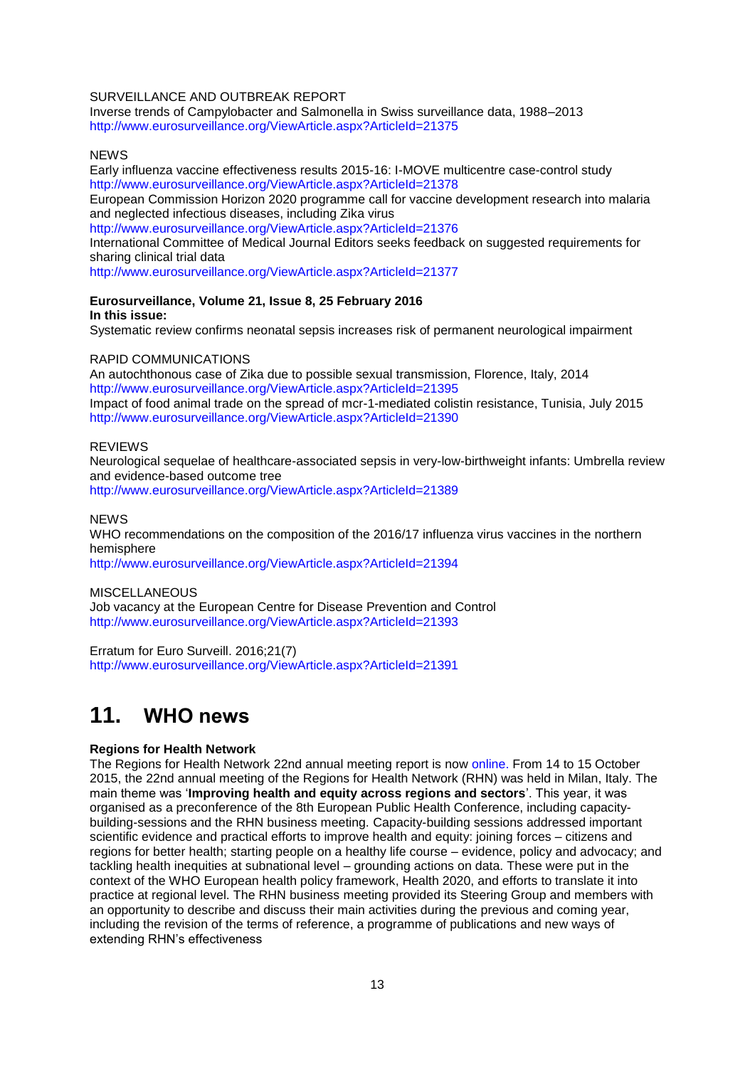#### SURVEILLANCE AND OUTBREAK REPORT

Inverse trends of Campylobacter and Salmonella in Swiss surveillance data, 1988–2013 <http://www.eurosurveillance.org/ViewArticle.aspx?ArticleId=21375>

#### **NEWS**

Early influenza vaccine effectiveness results 2015-16: I-MOVE multicentre case-control study <http://www.eurosurveillance.org/ViewArticle.aspx?ArticleId=21378>

European Commission Horizon 2020 programme call for vaccine development research into malaria and neglected infectious diseases, including Zika virus

<http://www.eurosurveillance.org/ViewArticle.aspx?ArticleId=21376>

International Committee of Medical Journal Editors seeks feedback on suggested requirements for sharing clinical trial data

<http://www.eurosurveillance.org/ViewArticle.aspx?ArticleId=21377>

#### **Eurosurveillance, Volume 21, Issue 8, 25 February 2016 In this issue:**

Systematic review confirms neonatal sepsis increases risk of permanent neurological impairment

#### RAPID COMMUNICATIONS

An autochthonous case of Zika due to possible sexual transmission, Florence, Italy, 2014 <http://www.eurosurveillance.org/ViewArticle.aspx?ArticleId=21395> Impact of food animal trade on the spread of mcr-1-mediated colistin resistance, Tunisia, July 2015 <http://www.eurosurveillance.org/ViewArticle.aspx?ArticleId=21390>

#### REVIEWS

Neurological sequelae of healthcare-associated sepsis in very-low-birthweight infants: Umbrella review and evidence-based outcome tree <http://www.eurosurveillance.org/ViewArticle.aspx?ArticleId=21389>

**NEWS** 

WHO recommendations on the composition of the 2016/17 influenza virus vaccines in the northern hemisphere

<http://www.eurosurveillance.org/ViewArticle.aspx?ArticleId=21394>

**MISCELLANEOUS** 

Job vacancy at the European Centre for Disease Prevention and Control <http://www.eurosurveillance.org/ViewArticle.aspx?ArticleId=21393>

Erratum for Euro Surveill. 2016;21(7) <http://www.eurosurveillance.org/ViewArticle.aspx?ArticleId=21391>

## <span id="page-12-0"></span>**11. WHO news**

#### **Regions for Health Network**

The Regions for Health Network 22nd annual meeting report is now [online.](http://www.euro.who.int/__data/assets/pdf_file/0018/300933/Regions-for-Health-Network-Twenty-second-annual-meeting-report.pdf) From 14 to 15 October 2015, the 22nd annual meeting of the Regions for Health Network (RHN) was held in Milan, Italy. The main theme was '**Improving health and equity across regions and sectors**'. This year, it was organised as a preconference of the 8th European Public Health Conference, including capacitybuilding-sessions and the RHN business meeting. Capacity-building sessions addressed important scientific evidence and practical efforts to improve health and equity: joining forces – citizens and regions for better health; starting people on a healthy life course – evidence, policy and advocacy; and tackling health inequities at subnational level – grounding actions on data. These were put in the context of the WHO European health policy framework, Health 2020, and efforts to translate it into practice at regional level. The RHN business meeting provided its Steering Group and members with an opportunity to describe and discuss their main activities during the previous and coming year, including the revision of the terms of reference, a programme of publications and new ways of extending RHN's effectiveness